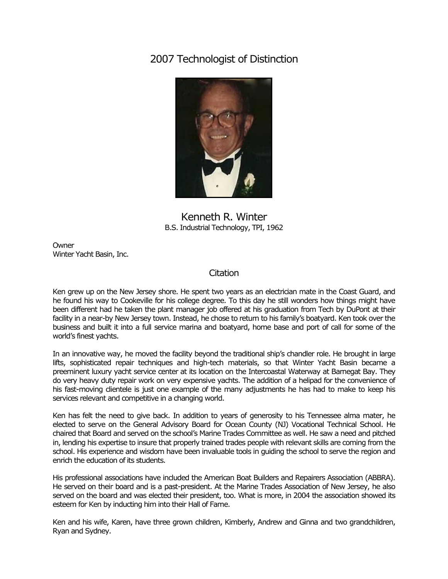## 2007 Technologist of Distinction



Kenneth R. Winter B.S. Industrial Technology, TPI, 1962

**Owner** Winter Yacht Basin, Inc.

## **Citation**

Ken grew up on the New Jersey shore. He spent two years as an electrician mate in the Coast Guard, and he found his way to Cookeville for his college degree. To this day he still wonders how things might have been different had he taken the plant manager job offered at his graduation from Tech by DuPont at their facility in a near-by New Jersey town. Instead, he chose to return to his family's boatyard. Ken took over the business and built it into a full service marina and boatyard, home base and port of call for some of the world's finest yachts.

In an innovative way, he moved the facility beyond the traditional ship's chandler role. He brought in large lifts, sophisticated repair techniques and high-tech materials, so that Winter Yacht Basin became a preeminent luxury yacht service center at its location on the Intercoastal Waterway at Barnegat Bay. They do very heavy duty repair work on very expensive yachts. The addition of a helipad for the convenience of his fast-moving clientele is just one example of the many adjustments he has had to make to keep his services relevant and competitive in a changing world.

Ken has felt the need to give back. In addition to years of generosity to his Tennessee alma mater, he elected to serve on the General Advisory Board for Ocean County (NJ) Vocational Technical School. He chaired that Board and served on the school's Marine Trades Committee as well. He saw a need and pitched in, lending his expertise to insure that properly trained trades people with relevant skills are coming from the school. His experience and wisdom have been invaluable tools in guiding the school to serve the region and enrich the education of its students.

His professional associations have included the American Boat Builders and Repairers Association (ABBRA). He served on their board and is a past-president. At the Marine Trades Association of New Jersey, he also served on the board and was elected their president, too. What is more, in 2004 the association showed its esteem for Ken by inducting him into their Hall of Fame.

Ken and his wife, Karen, have three grown children, Kimberly, Andrew and Ginna and two grandchildren, Ryan and Sydney.